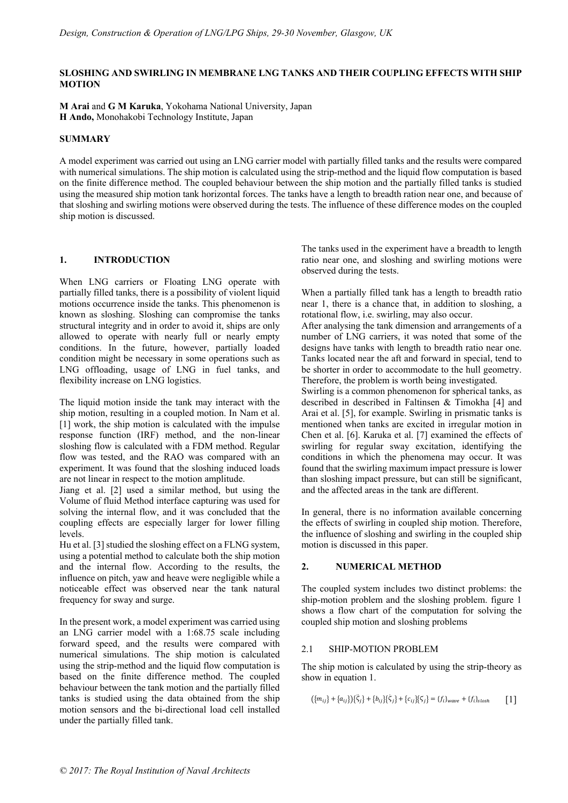### **SLOSHING AND SWIRLING IN MEMBRANE LNG TANKS AND THEIR COUPLING EFFECTS WITH SHIP MOTION**

**M Arai** and **G M Karuka**, Yokohama National University, Japan **H Ando,** Monohakobi Technology Institute, Japan

## **SUMMARY**

A model experiment was carried out using an LNG carrier model with partially filled tanks and the results were compared with numerical simulations. The ship motion is calculated using the strip-method and the liquid flow computation is based on the finite difference method. The coupled behaviour between the ship motion and the partially filled tanks is studied using the measured ship motion tank horizontal forces. The tanks have a length to breadth ration near one, and because of that sloshing and swirling motions were observed during the tests. The influence of these difference modes on the coupled ship motion is discussed.

# **1. INTRODUCTION**

When LNG carriers or Floating LNG operate with partially filled tanks, there is a possibility of violent liquid motions occurrence inside the tanks. This phenomenon is known as sloshing. Sloshing can compromise the tanks structural integrity and in order to avoid it, ships are only allowed to operate with nearly full or nearly empty conditions. In the future, however, partially loaded condition might be necessary in some operations such as LNG offloading, usage of LNG in fuel tanks, and flexibility increase on LNG logistics.

The liquid motion inside the tank may interact with the ship motion, resulting in a coupled motion. In Nam et al. [1] work, the ship motion is calculated with the impulse response function (IRF) method, and the non-linear sloshing flow is calculated with a FDM method. Regular flow was tested, and the RAO was compared with an experiment. It was found that the sloshing induced loads are not linear in respect to the motion amplitude.

Jiang et al. [2] used a similar method, but using the Volume of fluid Method interface capturing was used for solving the internal flow, and it was concluded that the coupling effects are especially larger for lower filling levels.

Hu et al. [3] studied the sloshing effect on a FLNG system, using a potential method to calculate both the ship motion and the internal flow. According to the results, the influence on pitch, yaw and heave were negligible while a noticeable effect was observed near the tank natural frequency for sway and surge.

In the present work, a model experiment was carried using an LNG carrier model with a 1:68.75 scale including forward speed, and the results were compared with numerical simulations. The ship motion is calculated using the strip-method and the liquid flow computation is based on the finite difference method. The coupled behaviour between the tank motion and the partially filled tanks is studied using the data obtained from the ship motion sensors and the bi-directional load cell installed under the partially filled tank.

The tanks used in the experiment have a breadth to length ratio near one, and sloshing and swirling motions were observed during the tests.

When a partially filled tank has a length to breadth ratio near 1, there is a chance that, in addition to sloshing, a rotational flow, i.e. swirling, may also occur.

After analysing the tank dimension and arrangements of a number of LNG carriers, it was noted that some of the designs have tanks with length to breadth ratio near one. Tanks located near the aft and forward in special, tend to be shorter in order to accommodate to the hull geometry. Therefore, the problem is worth being investigated.

Swirling is a common phenomenon for spherical tanks, as described in described in Faltinsen & Timokha [4] and Arai et al. [5], for example. Swirling in prismatic tanks is mentioned when tanks are excited in irregular motion in Chen et al. [6]. Karuka et al. [7] examined the effects of swirling for regular sway excitation, identifying the conditions in which the phenomena may occur. It was found that the swirling maximum impact pressure is lower than sloshing impact pressure, but can still be significant, and the affected areas in the tank are different.

In general, there is no information available concerning the effects of swirling in coupled ship motion. Therefore, the influence of sloshing and swirling in the coupled ship motion is discussed in this paper.

# **2. NUMERICAL METHOD**

The coupled system includes two distinct problems: the ship-motion problem and the sloshing problem. figure 1 shows a flow chart of the computation for solving the coupled ship motion and sloshing problems

### 2.1 SHIP-MOTION PROBLEM

The ship motion is calculated by using the strip-theory as show in equation 1.

$$
({m_{ij}} + {a_{ij}})(\xi_j) + {b_{ij}}(\xi_j) + {c_{ij}}(\xi_j) = {f_i}_{wave} + {f_i}_{slosh} \qquad [1]
$$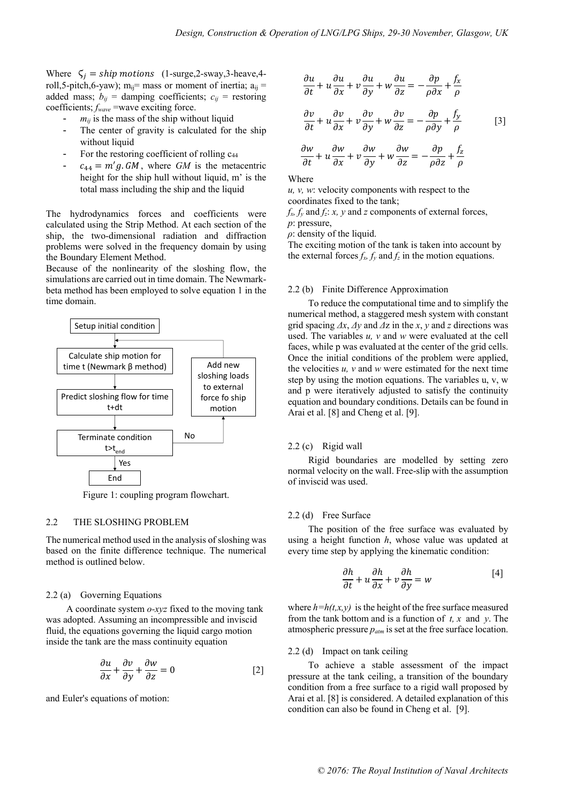Where  $\zeta_i =$ ship motions (1-surge,2-sway,3-heave,4roll,5-pitch,6-yaw); m<sub>ij</sub>= mass or moment of inertia;  $a_{ij}$  = added mass;  $b_{ij}$  = damping coefficients;  $c_{ij}$  = restoring coefficients; *fwave* =wave exciting force.

- $m_{ij}$  is the mass of the ship without liquid
- The center of gravity is calculated for the ship without liquid
- For the restoring coefficient of rolling c<sub>44</sub>
- $c_{44} = m'g$ . *GM*, where *GM* is the metacentric height for the ship hull without liquid, m' is the total mass including the ship and the liquid

The hydrodynamics forces and coefficients were calculated using the Strip Method. At each section of the ship, the two-dimensional radiation and diffraction problems were solved in the frequency domain by using the Boundary Element Method.

Because of the nonlinearity of the sloshing flow, the simulations are carried out in time domain. The Newmarkbeta method has been employed to solve equation 1 in the time domain.



Figure 1: coupling program flowchart.

## 2.2 THE SLOSHING PROBLEM

The numerical method used in the analysis of sloshing was based on the finite difference technique. The numerical method is outlined below.

### 2.2 (a) Governing Equations

 A coordinate system *o-xyz* fixed to the moving tank was adopted. Assuming an incompressible and inviscid fluid, the equations governing the liquid cargo motion inside the tank are the mass continuity equation

$$
\frac{\partial u}{\partial x} + \frac{\partial v}{\partial y} + \frac{\partial w}{\partial z} = 0
$$
 [2]

and Euler's equations of motion:

$$
\frac{\partial u}{\partial t} + u \frac{\partial u}{\partial x} + v \frac{\partial u}{\partial y} + w \frac{\partial u}{\partial z} = -\frac{\partial p}{\rho \partial x} + \frac{f_x}{\rho}
$$

$$
\frac{\partial v}{\partial t} + u \frac{\partial v}{\partial x} + v \frac{\partial v}{\partial y} + w \frac{\partial v}{\partial z} = -\frac{\partial p}{\rho \partial y} + \frac{f_y}{\rho}
$$
[3]

$$
\frac{\partial w}{\partial t} + u \frac{\partial w}{\partial x} + v \frac{\partial w}{\partial y} + w \frac{\partial w}{\partial z} = -\frac{\partial p}{\rho \partial z} + \frac{f_z}{\rho}
$$

Where

*u, v, w*: velocity components with respect to the coordinates fixed to the tank;

 $f_x, f_y$  and  $f_z$ : *x*, *y* and *z* components of external forces, *p*: pressure,

*ρ*: density of the liquid.

The exciting motion of the tank is taken into account by the external forces  $f_x$ ,  $f_y$  and  $f_z$  in the motion equations.

### 2.2 (b) Finite Difference Approximation

 To reduce the computational time and to simplify the numerical method, a staggered mesh system with constant grid spacing *Δx*, *Δy* and *Δ*z in the *x*, *y* and *z* directions was used. The variables *u, v* and *w* were evaluated at the cell faces, while p was evaluated at the center of the grid cells. Once the initial conditions of the problem were applied, the velocities  $u$ ,  $v$  and  $w$  were estimated for the next time step by using the motion equations. The variables u, v, w and p were iteratively adjusted to satisfy the continuity equation and boundary conditions. Details can be found in Arai et al. [8] and Cheng et al. [9].

#### 2.2 (c) Rigid wall

 Rigid boundaries are modelled by setting zero normal velocity on the wall. Free-slip with the assumption of inviscid was used.

#### 2.2 (d) Free Surface

 The position of the free surface was evaluated by using a height function *h*, whose value was updated at every time step by applying the kinematic condition:

$$
\frac{\partial h}{\partial t} + u \frac{\partial h}{\partial x} + v \frac{\partial h}{\partial y} = w \tag{4}
$$

where  $h=h(t,x,y)$  is the height of the free surface measured from the tank bottom and is a function of *t, x* and *y*. The atmospheric pressure *patm* is set at the free surface location.

## 2.2 (d) Impact on tank ceiling

 To achieve a stable assessment of the impact pressure at the tank ceiling, a transition of the boundary condition from a free surface to a rigid wall proposed by Arai et al. [8] is considered. A detailed explanation of this condition can also be found in Cheng et al. [9].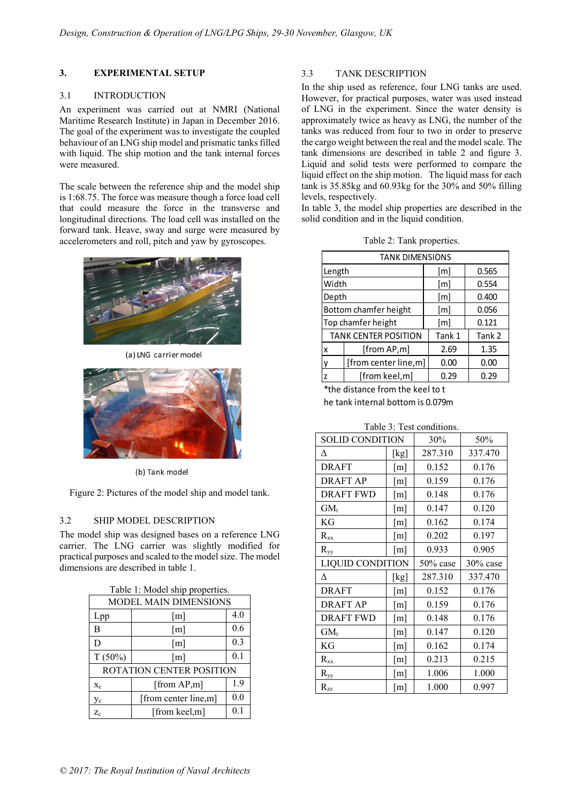# **3. EXPERIMENTAL SETUP**

# 3.1 INTRODUCTION

An experiment was carried out at NMRI (National Maritime Research Institute) in Japan in December 2016. The goal of the experiment was to investigate the coupled behaviour of an LNG ship model and prismatic tanks filled with liquid. The ship motion and the tank internal forces were measured.

The scale between the reference ship and the model ship is 1:68.75. The force was measure though a force load cell that could measure the force in the transverse and longitudinal directions. The load cell was installed on the forward tank. Heave, sway and surge were measured by accelerometers and roll, pitch and yaw by gyroscopes.



(a) LNG carrier model



(b) Tank model

Figure 2: Pictures of the model ship and model tank.

# 3.2 SHIP MODEL DESCRIPTION

The model ship was designed bases on a reference LNG carrier. The LNG carrier was slightly modified for practical purposes and scaled to the model size. The model dimensions are described in table 1.

| Table 1. Model ship properties. |                      |     |  |
|---------------------------------|----------------------|-----|--|
| <b>MODEL MAIN DIMENSIONS</b>    |                      |     |  |
| Lpp                             | $\lceil m \rceil$    | 4.0 |  |
| B                               | $\lceil m \rceil$    | 0.6 |  |
| D                               | $\lceil m \rceil$    | 0.3 |  |
| $T(50\%)$                       | $\lceil m \rceil$    | 0.1 |  |
| ROTATION CENTER POSITION        |                      |     |  |
| $X_c$                           | [from AP,m]          | 1.9 |  |
| Уc                              | [from center line,m] | 0.0 |  |
| $Z_{c}$                         | [from keel.m]        | 0.1 |  |

 $T$  1: Model ship properties.

## 3.3 TANK DESCRIPTION

In the ship used as reference, four LNG tanks are used. However, for practical purposes, water was used instead of LNG in the experiment. Since the water density is approximately twice as heavy as LNG, the number of the tanks was reduced from four to two in order to preserve the cargo weight between the real and the model scale. The tank dimensions are described in table 2 and figure 3. Liquid and solid tests were performed to compare the liquid effect on the ship motion. The liquid mass for each tank is  $35.85$ kg and  $60.93$ kg for the  $30\%$  and  $50\%$  filling levels, respectively.

In table 3, the model ship properties are described in the solid condition and in the liquid condition.

| Table 2: Tank properties. |  |
|---------------------------|--|
|---------------------------|--|

| <b>TANK DIMENSIONS</b>                     |                      |        |        |  |
|--------------------------------------------|----------------------|--------|--------|--|
| Length                                     |                      | [m]    | 0.565  |  |
| Width                                      |                      | [m]    | 0.554  |  |
| Depth                                      |                      | [m]    | 0.400  |  |
| Bottom chamfer height                      |                      | [m]    | 0.056  |  |
| Top chamfer height                         |                      | [m]    | 0.121  |  |
| <b>TANK CENTER POSITION</b>                |                      | Tank 1 | Tank 2 |  |
| x                                          | [from AP,m]          | 2.69   | 1.35   |  |
| ٧                                          | [from center line,m] | 0.00   | 0.00   |  |
| z                                          | [from keel,m]        | 0.29   | 0.29   |  |
| ---<br>$\cdots$ $\cdots$ $\cdots$ $\cdots$ |                      |        |        |  |

\*the distance from the keel to t he tank internal bottom is 0.079m

| <b>SOLID CONDITION</b>  |                   | 30%      | 50%      |
|-------------------------|-------------------|----------|----------|
| Δ                       | [kg]              | 287.310  | 337.470  |
| <b>DRAFT</b>            | $\lceil m \rceil$ | 0.152    | 0.176    |
| DRAFT AP                | $\lceil m \rceil$ | 0.159    | 0.176    |
| <b>DRAFT FWD</b>        | $\lceil m \rceil$ | 0.148    | 0.176    |
| $GM_t$                  | $\lceil m \rceil$ | 0.147    | 0.120    |
| KG                      | $\lceil m \rceil$ | 0.162    | 0.174    |
| $R_{xx}$                | $\lceil m \rceil$ | 0.202    | 0.197    |
| $R_{yy}$                | $\lceil m \rceil$ | 0.933    | 0.905    |
| <b>LIQUID CONDITION</b> |                   | 50% case | 30% case |
| Δ                       | [kg]              | 287.310  | 337.470  |
| <b>DRAFT</b>            | $\lceil m \rceil$ | 0.152    | 0.176    |
| <b>DRAFT AP</b>         | $\lceil m \rceil$ | 0.159    | 0.176    |
| <b>DRAFT FWD</b>        | $\lceil m \rceil$ | 0.148    | 0.176    |
| $GM_t$                  | $\lceil m \rceil$ | 0.147    | 0.120    |
| KG                      | $\lceil m \rceil$ | 0.162    | 0.174    |
| $R_{xx}$                | $\lceil m \rceil$ | 0.213    | 0.215    |
| $R_{yy}$                | $\lceil m \rceil$ | 1.006    | 1.000    |
| $R_{zz}$                | $\lceil m \rceil$ | 1.000    | 0.997    |

#### Table 3: Test conditions.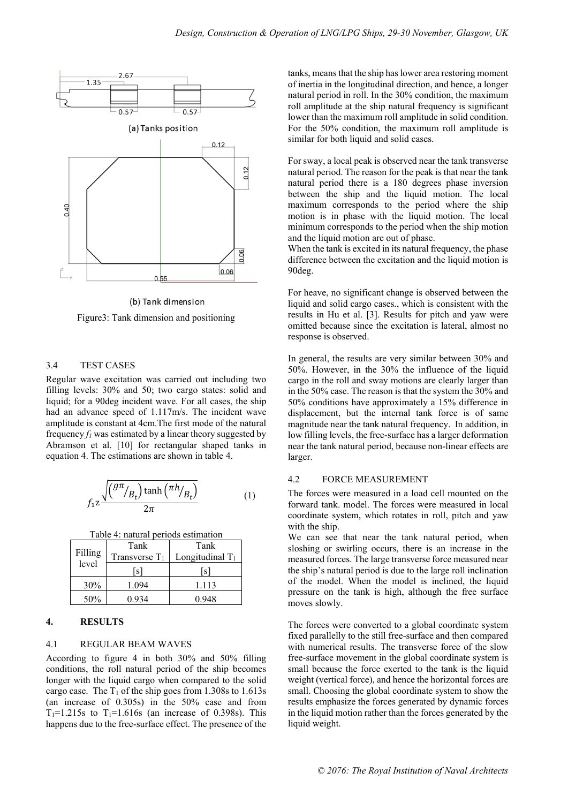

(b) Tank dimension

Figure3: Tank dimension and positioning

#### 3.4 TEST CASES

Regular wave excitation was carried out including two filling levels: 30% and 50; two cargo states: solid and liquid; for a 90deg incident wave. For all cases, the ship had an advance speed of 1.117m/s. The incident wave amplitude is constant at 4cm.The first mode of the natural frequency  $f_l$  was estimated by a linear theory suggested by Abramson et al. [10] for rectangular shaped tanks in equation 4. The estimations are shown in table 4.

$$
f_1 z \frac{\sqrt{\left(\frac{g\pi}{B_t}\right) \tanh\left(\frac{\pi h}{B_t}\right)}}{2\pi} \tag{1}
$$

Table 4: natural periods

|         | Tank             | Tank               |
|---------|------------------|--------------------|
| Filling | Transverse $T_1$ | Longitudinal $T_1$ |
| level   | l S l            | ls.                |
| 30%     | 1.094            | 1 1 1 3            |
| 50%     | 0 934            | 0 948              |

# **4. RESULTS**

## 4.1 REGULAR BEAM WAVES

According to figure 4 in both 30% and 50% filling conditions, the roll natural period of the ship becomes longer with the liquid cargo when compared to the solid cargo case. The  $T_1$  of the ship goes from 1.308s to 1.613s (an increase of 0.305s) in the 50% case and from  $T_1 = 1.215s$  to  $T_1 = 1.616s$  (an increase of 0.398s). This happens due to the free-surface effect. The presence of the

tanks, means that the ship has lower area restoring moment of inertia in the longitudinal direction, and hence, a longer natural period in roll. In the 30% condition, the maximum roll amplitude at the ship natural frequency is significant lower than the maximum roll amplitude in solid condition. For the 50% condition, the maximum roll amplitude is similar for both liquid and solid cases.

For sway, a local peak is observed near the tank transverse natural period. The reason for the peak is that near the tank natural period there is a 180 degrees phase inversion between the ship and the liquid motion. The local maximum corresponds to the period where the ship motion is in phase with the liquid motion. The local minimum corresponds to the period when the ship motion and the liquid motion are out of phase.

When the tank is excited in its natural frequency, the phase difference between the excitation and the liquid motion is 90deg.

For heave, no significant change is observed between the liquid and solid cargo cases., which is consistent with the results in Hu et al. [3]. Results for pitch and yaw were omitted because since the excitation is lateral, almost no response is observed.

In general, the results are very similar between 30% and 50%. However, in the 30% the influence of the liquid cargo in the roll and sway motions are clearly larger than in the 50% case. The reason is that the system the 30% and 50% conditions have approximately a 15% difference in displacement, but the internal tank force is of same magnitude near the tank natural frequency. In addition, in low filling levels, the free-surface has a larger deformation near the tank natural period, because non-linear effects are larger.

### 4.2 FORCE MEASUREMENT

The forces were measured in a load cell mounted on the forward tank. model. The forces were measured in local coordinate system, which rotates in roll, pitch and yaw with the ship.

We can see that near the tank natural period, when sloshing or swirling occurs, there is an increase in the measured forces. The large transverse force measured near the ship's natural period is due to the large roll inclination of the model. When the model is inclined, the liquid pressure on the tank is high, although the free surface moves slowly.

The forces were converted to a global coordinate system fixed parallelly to the still free-surface and then compared with numerical results. The transverse force of the slow free-surface movement in the global coordinate system is small because the force exerted to the tank is the liquid weight (vertical force), and hence the horizontal forces are small. Choosing the global coordinate system to show the results emphasize the forces generated by dynamic forces in the liquid motion rather than the forces generated by the liquid weight.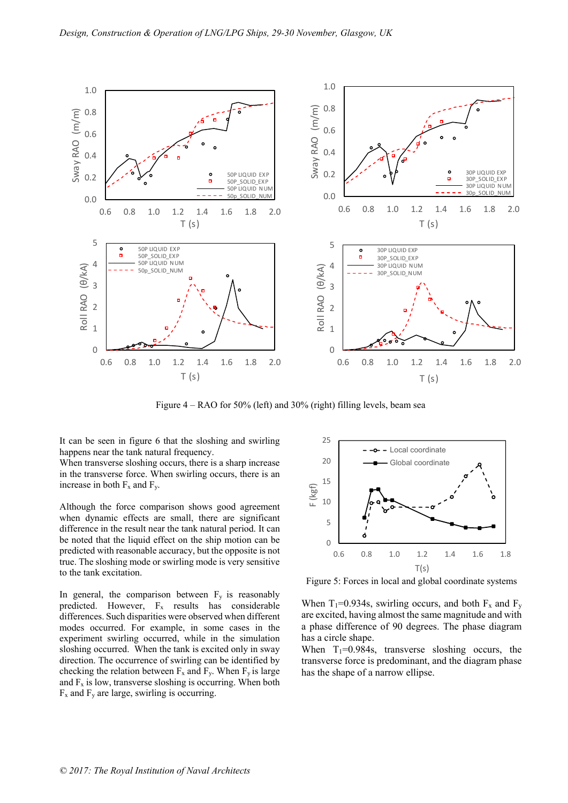

Figure 4 – RAO for 50% (left) and 30% (right) filling levels, beam sea

It can be seen in figure 6 that the sloshing and swirling happens near the tank natural frequency.

When transverse sloshing occurs, there is a sharp increase in the transverse force. When swirling occurs, there is an increase in both  $F_x$  and  $F_y$ .

Although the force comparison shows good agreement when dynamic effects are small, there are significant difference in the result near the tank natural period. It can be noted that the liquid effect on the ship motion can be predicted with reasonable accuracy, but the opposite is not true. The sloshing mode or swirling mode is very sensitive to the tank excitation.

In general, the comparison between  $F_y$  is reasonably predicted. However, Fx results has considerable differences. Such disparities were observed when different modes occurred. For example, in some cases in the experiment swirling occurred, while in the simulation sloshing occurred. When the tank is excited only in sway direction. The occurrence of swirling can be identified by checking the relation between  $F_x$  and  $F_y$ . When  $F_y$  is large and  $F_x$  is low, transverse sloshing is occurring. When both  $F_x$  and  $F_y$  are large, swirling is occurring.



Figure 5: Forces in local and global coordinate systems

When T<sub>1</sub>=0.934s, swirling occurs, and both  $F_x$  and  $F_y$ are excited, having almost the same magnitude and with a phase difference of 90 degrees. The phase diagram has a circle shape.

When  $T_1=0.984s$ , transverse sloshing occurs, the transverse force is predominant, and the diagram phase has the shape of a narrow ellipse.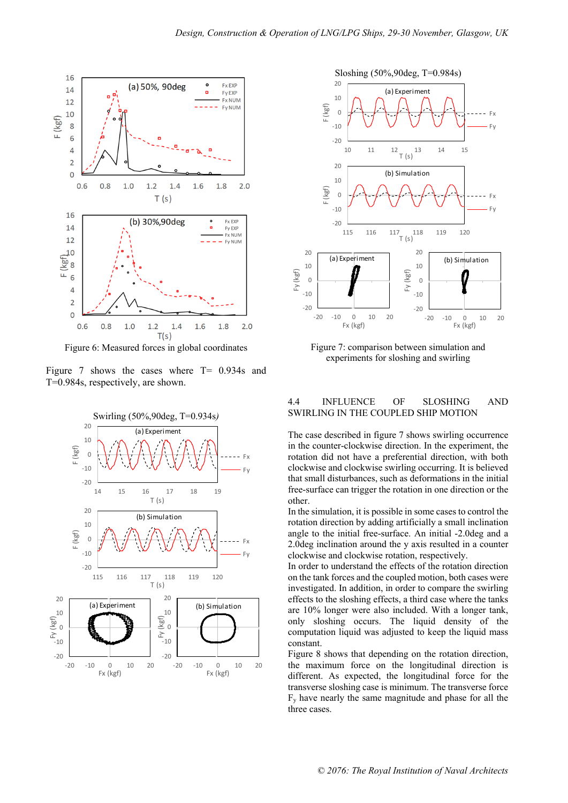

Figure 6: Measured forces in global coordinates

Figure 7 shows the cases where T= 0.934s and T=0.984s, respectively, are shown.





Figure 7: comparison between simulation and experiments for sloshing and swirling

## 4.4 INFLUENCE OF SLOSHING AND SWIRLING IN THE COUPLED SHIP MOTION

The case described in figure 7 shows swirling occurrence in the counter-clockwise direction. In the experiment, the rotation did not have a preferential direction, with both clockwise and clockwise swirling occurring. It is believed that small disturbances, such as deformations in the initial free-surface can trigger the rotation in one direction or the other.

In the simulation, it is possible in some cases to control the rotation direction by adding artificially a small inclination angle to the initial free-surface. An initial -2.0deg and a 2.0deg inclination around the y axis resulted in a counter clockwise and clockwise rotation, respectively.

In order to understand the effects of the rotation direction on the tank forces and the coupled motion, both cases were investigated. In addition, in order to compare the swirling effects to the sloshing effects, a third case where the tanks are 10% longer were also included. With a longer tank, only sloshing occurs. The liquid density of the computation liquid was adjusted to keep the liquid mass constant.

Figure 8 shows that depending on the rotation direction, the maximum force on the longitudinal direction is different. As expected, the longitudinal force for the transverse sloshing case is minimum. The transverse force  $F<sub>v</sub>$  have nearly the same magnitude and phase for all the three cases.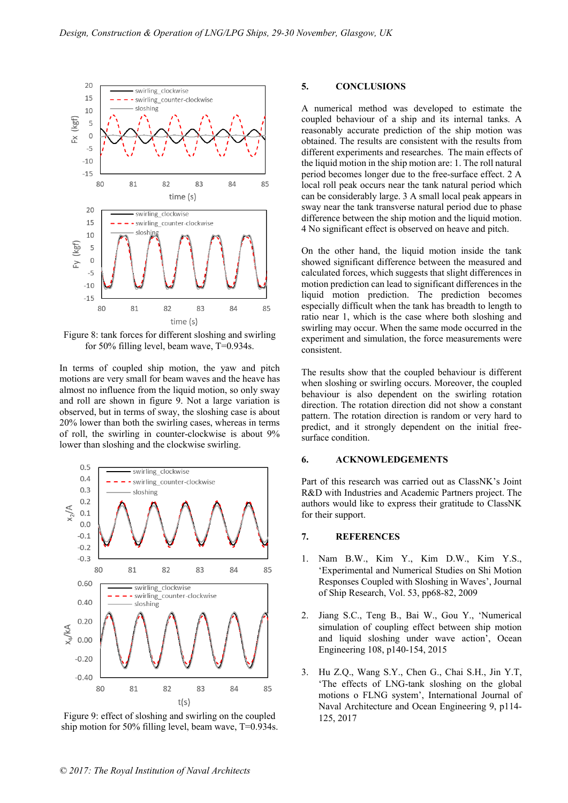

Figure 8: tank forces for different sloshing and swirling for 50% filling level, beam wave, T=0.934s.

In terms of coupled ship motion, the yaw and pitch motions are very small for beam waves and the heave has almost no influence from the liquid motion, so only sway and roll are shown in figure 9. Not a large variation is observed, but in terms of sway, the sloshing case is about 20% lower than both the swirling cases, whereas in terms of roll, the swirling in counter-clockwise is about 9% lower than sloshing and the clockwise swirling.



Figure 9: effect of sloshing and swirling on the coupled ship motion for 50% filling level, beam wave, T=0.934s.

#### **5. CONCLUSIONS**

A numerical method was developed to estimate the coupled behaviour of a ship and its internal tanks. A reasonably accurate prediction of the ship motion was obtained. The results are consistent with the results from different experiments and researches. The main effects of the liquid motion in the ship motion are: 1. The roll natural period becomes longer due to the free-surface effect. 2 A local roll peak occurs near the tank natural period which can be considerably large. 3 A small local peak appears in sway near the tank transverse natural period due to phase difference between the ship motion and the liquid motion. 4 No significant effect is observed on heave and pitch.

On the other hand, the liquid motion inside the tank showed significant difference between the measured and calculated forces, which suggests that slight differences in motion prediction can lead to significant differences in the liquid motion prediction. The prediction becomes especially difficult when the tank has breadth to length to ratio near 1, which is the case where both sloshing and swirling may occur. When the same mode occurred in the experiment and simulation, the force measurements were consistent.

The results show that the coupled behaviour is different when sloshing or swirling occurs. Moreover, the coupled behaviour is also dependent on the swirling rotation direction. The rotation direction did not show a constant pattern. The rotation direction is random or very hard to predict, and it strongly dependent on the initial freesurface condition.

#### **6. ACKNOWLEDGEMENTS**

Part of this research was carried out as ClassNK's Joint R&D with Industries and Academic Partners project. The authors would like to express their gratitude to ClassNK for their support.

## **7. REFERENCES**

- Nam B.W., Kim Y., Kim D.W., Kim Y.S., 'Experimental and Numerical Studies on Shi Motion Responses Coupled with Sloshing in Waves', Journal of Ship Research, Vol. 53, pp68-82, 2009
- 2. Jiang S.C., Teng B., Bai W., Gou Y., 'Numerical simulation of coupling effect between ship motion and liquid sloshing under wave action', Ocean Engineering 108, p140-154, 2015
- 3. Hu Z.Q., Wang S.Y., Chen G., Chai S.H., Jin Y.T, 'The effects of LNG-tank sloshing on the global motions o FLNG system', International Journal of Naval Architecture and Ocean Engineering 9, p114- 125, 2017